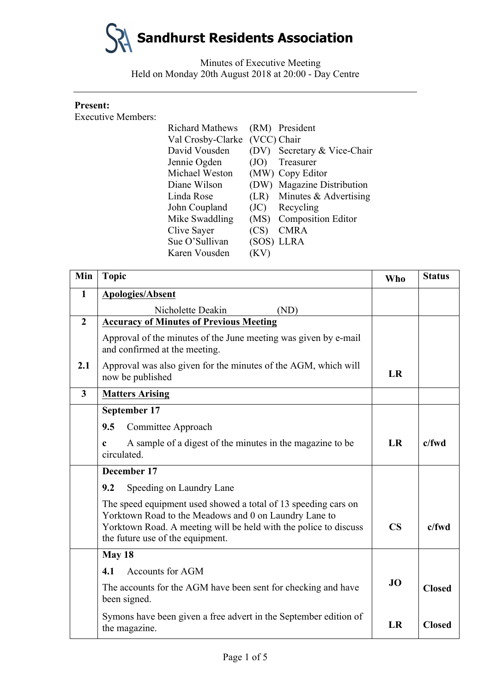

Minutes of Executive Meeting Held on Monday 20th August 2018 at 20:00 - Day Centre

## **Present:**

Executive Members:

| <b>Richard Mathews</b> |             | (RM) President                  |
|------------------------|-------------|---------------------------------|
| Val Crosby-Clarke      | (VCC) Chair |                                 |
| David Vousden          |             | (DV) Secretary & Vice-Chair     |
| Jennie Ogden           | (JO)        | Treasurer                       |
| Michael Weston         |             | (MW) Copy Editor                |
| Diane Wilson           |             | (DW) Magazine Distribution      |
| Linda Rose             |             | $(LR)$ Minutes & Advertising    |
| John Coupland          |             | $\left($ JC $\right)$ Recycling |
| Mike Swaddling         | (MS)        | <b>Composition Editor</b>       |
| Clive Sayer            | (CS)        | <b>CMRA</b>                     |
| Sue O'Sullivan         |             | (SOS) LLRA                      |
| Karen Vousden          | (KV)        |                                 |

| Min                     | <b>Topic</b>                                                                                                                                                                                                                    | <b>Who</b>             | <b>Status</b> |
|-------------------------|---------------------------------------------------------------------------------------------------------------------------------------------------------------------------------------------------------------------------------|------------------------|---------------|
| $\mathbf{1}$            | <b>Apologies/Absent</b>                                                                                                                                                                                                         |                        |               |
|                         | Nicholette Deakin<br>(ND)                                                                                                                                                                                                       |                        |               |
| $\overline{2}$          | <b>Accuracy of Minutes of Previous Meeting</b>                                                                                                                                                                                  |                        |               |
|                         | Approval of the minutes of the June meeting was given by e-mail<br>and confirmed at the meeting.                                                                                                                                |                        |               |
| 2.1                     | Approval was also given for the minutes of the AGM, which will<br>now be published                                                                                                                                              | LR                     |               |
| $\overline{\mathbf{3}}$ | <b>Matters Arising</b>                                                                                                                                                                                                          |                        |               |
|                         | September 17                                                                                                                                                                                                                    |                        |               |
|                         | Committee Approach<br>9.5                                                                                                                                                                                                       |                        |               |
|                         | A sample of a digest of the minutes in the magazine to be<br>c<br>circulated.                                                                                                                                                   | LR                     | c/fwd         |
|                         | December 17                                                                                                                                                                                                                     |                        |               |
|                         | 9.2<br>Speeding on Laundry Lane                                                                                                                                                                                                 |                        |               |
|                         | The speed equipment used showed a total of 13 speeding cars on<br>Yorktown Road to the Meadows and 0 on Laundry Lane to<br>Yorktown Road. A meeting will be held with the police to discuss<br>the future use of the equipment. | $\overline{\text{CS}}$ | c/fwd         |
|                         | May 18                                                                                                                                                                                                                          |                        |               |
|                         | <b>Accounts for AGM</b><br>4.1                                                                                                                                                                                                  |                        |               |
|                         | The accounts for the AGM have been sent for checking and have<br>been signed.                                                                                                                                                   | JO                     | <b>Closed</b> |
|                         | Symons have been given a free advert in the September edition of<br>the magazine.                                                                                                                                               | LR                     | <b>Closed</b> |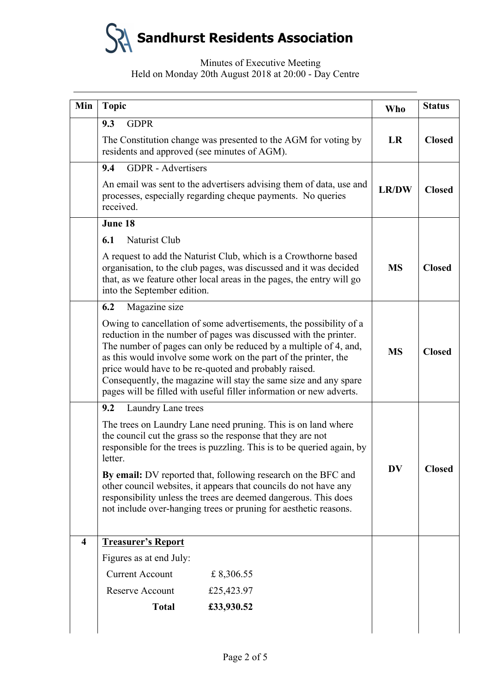# Minutes of Executive Meeting Held on Monday 20th August 2018 at 20:00 - Day Centre

| Min                     | <b>Topic</b>                                                                                                                                                                                                                                                                                                                                                                                                                                                                      | <b>Who</b>   | <b>Status</b> |
|-------------------------|-----------------------------------------------------------------------------------------------------------------------------------------------------------------------------------------------------------------------------------------------------------------------------------------------------------------------------------------------------------------------------------------------------------------------------------------------------------------------------------|--------------|---------------|
|                         | <b>GDPR</b><br>9.3                                                                                                                                                                                                                                                                                                                                                                                                                                                                |              |               |
|                         | The Constitution change was presented to the AGM for voting by<br>residents and approved (see minutes of AGM).                                                                                                                                                                                                                                                                                                                                                                    | LR           | <b>Closed</b> |
|                         | <b>GDPR</b> - Advertisers<br>9.4                                                                                                                                                                                                                                                                                                                                                                                                                                                  |              |               |
|                         | An email was sent to the advertisers advising them of data, use and<br>processes, especially regarding cheque payments. No queries<br>received.                                                                                                                                                                                                                                                                                                                                   | <b>LR/DW</b> | <b>Closed</b> |
|                         | June 18                                                                                                                                                                                                                                                                                                                                                                                                                                                                           |              |               |
|                         | Naturist Club<br>6.1                                                                                                                                                                                                                                                                                                                                                                                                                                                              |              |               |
|                         | A request to add the Naturist Club, which is a Crowthorne based<br>organisation, to the club pages, was discussed and it was decided<br>that, as we feature other local areas in the pages, the entry will go<br>into the September edition.                                                                                                                                                                                                                                      | <b>MS</b>    | <b>Closed</b> |
|                         | 6.2<br>Magazine size                                                                                                                                                                                                                                                                                                                                                                                                                                                              |              |               |
|                         | Owing to cancellation of some advertisements, the possibility of a<br>reduction in the number of pages was discussed with the printer.<br>The number of pages can only be reduced by a multiple of 4, and,<br>as this would involve some work on the part of the printer, the<br>price would have to be re-quoted and probably raised.<br>Consequently, the magazine will stay the same size and any spare<br>pages will be filled with useful filler information or new adverts. | <b>MS</b>    | <b>Closed</b> |
|                         | 9.2<br>Laundry Lane trees                                                                                                                                                                                                                                                                                                                                                                                                                                                         |              |               |
|                         | The trees on Laundry Lane need pruning. This is on land where<br>the council cut the grass so the response that they are not<br>responsible for the trees is puzzling. This is to be queried again, by<br>letter.                                                                                                                                                                                                                                                                 | <b>DV</b>    |               |
|                         | By email: DV reported that, following research on the BFC and<br>other council websites, it appears that councils do not have any<br>responsibility unless the trees are deemed dangerous. This does<br>not include over-hanging trees or pruning for aesthetic reasons.                                                                                                                                                                                                          |              | <b>Closed</b> |
| $\overline{\mathbf{4}}$ | <b>Treasurer's Report</b>                                                                                                                                                                                                                                                                                                                                                                                                                                                         |              |               |
|                         | Figures as at end July:                                                                                                                                                                                                                                                                                                                                                                                                                                                           |              |               |
|                         | <b>Current Account</b><br>£8,306.55                                                                                                                                                                                                                                                                                                                                                                                                                                               |              |               |
|                         | <b>Reserve Account</b><br>£25,423.97                                                                                                                                                                                                                                                                                                                                                                                                                                              |              |               |
|                         | <b>Total</b><br>£33,930.52                                                                                                                                                                                                                                                                                                                                                                                                                                                        |              |               |
|                         |                                                                                                                                                                                                                                                                                                                                                                                                                                                                                   |              |               |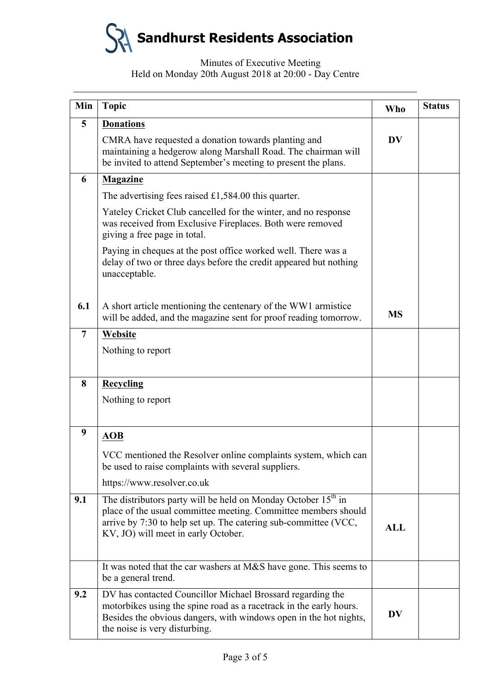# Minutes of Executive Meeting Held on Monday 20th August 2018 at 20:00 - Day Centre

| Min            | <b>Topic</b>                                                                                                                                                                                                                                          | <b>Who</b> | <b>Status</b> |
|----------------|-------------------------------------------------------------------------------------------------------------------------------------------------------------------------------------------------------------------------------------------------------|------------|---------------|
| 5              | <b>Donations</b>                                                                                                                                                                                                                                      |            |               |
|                | CMRA have requested a donation towards planting and<br>maintaining a hedgerow along Marshall Road. The chairman will<br>be invited to attend September's meeting to present the plans.                                                                | <b>DV</b>  |               |
| 6              | <b>Magazine</b>                                                                                                                                                                                                                                       |            |               |
|                | The advertising fees raised $£1,584.00$ this quarter.                                                                                                                                                                                                 |            |               |
|                | Yateley Cricket Club cancelled for the winter, and no response<br>was received from Exclusive Fireplaces. Both were removed<br>giving a free page in total.                                                                                           |            |               |
|                | Paying in cheques at the post office worked well. There was a<br>delay of two or three days before the credit appeared but nothing<br>unacceptable.                                                                                                   |            |               |
| 6.1            | A short article mentioning the centenary of the WW1 armistice<br>will be added, and the magazine sent for proof reading tomorrow.                                                                                                                     | <b>MS</b>  |               |
| $\overline{7}$ | Website                                                                                                                                                                                                                                               |            |               |
|                | Nothing to report                                                                                                                                                                                                                                     |            |               |
| 8              | Recycling                                                                                                                                                                                                                                             |            |               |
|                | Nothing to report                                                                                                                                                                                                                                     |            |               |
| 9              | $\overline{AOB}$                                                                                                                                                                                                                                      |            |               |
|                | VCC mentioned the Resolver online complaints system, which can<br>be used to raise complaints with several suppliers.                                                                                                                                 |            |               |
|                | https://www.resolver.co.uk                                                                                                                                                                                                                            |            |               |
| 9.1            | The distributors party will be held on Monday October 15 <sup>th</sup> in<br>place of the usual committee meeting. Committee members should<br>arrive by 7:30 to help set up. The catering sub-committee (VCC,<br>KV, JO) will meet in early October. | <b>ALL</b> |               |
|                | It was noted that the car washers at M&S have gone. This seems to<br>be a general trend.                                                                                                                                                              |            |               |
| 9.2            | DV has contacted Councillor Michael Brossard regarding the<br>motorbikes using the spine road as a racetrack in the early hours.<br>Besides the obvious dangers, with windows open in the hot nights,<br>the noise is very disturbing.                | <b>DV</b>  |               |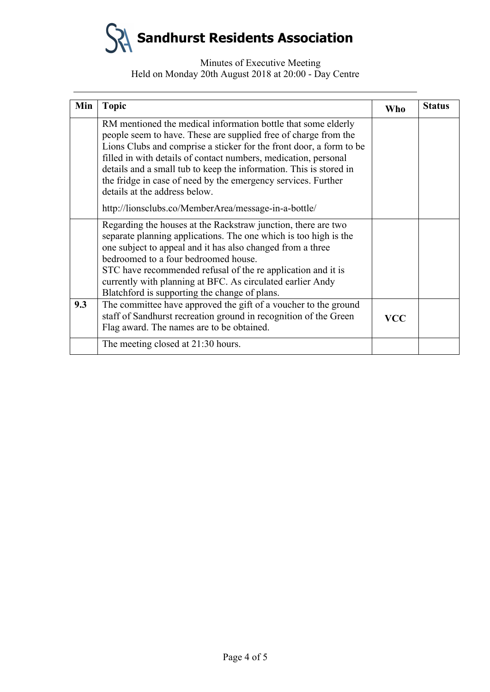## Minutes of Executive Meeting Held on Monday 20th August 2018 at 20:00 - Day Centre

| Min | <b>Topic</b>                                                                                                                                                                                                                                                                                                                                                                                                                                                                                               |     | <b>Status</b> |
|-----|------------------------------------------------------------------------------------------------------------------------------------------------------------------------------------------------------------------------------------------------------------------------------------------------------------------------------------------------------------------------------------------------------------------------------------------------------------------------------------------------------------|-----|---------------|
|     | RM mentioned the medical information bottle that some elderly<br>people seem to have. These are supplied free of charge from the<br>Lions Clubs and comprise a sticker for the front door, a form to be<br>filled in with details of contact numbers, medication, personal<br>details and a small tub to keep the information. This is stored in<br>the fridge in case of need by the emergency services. Further<br>details at the address below.<br>http://lionsclubs.co/MemberArea/message-in-a-bottle/ |     |               |
|     | Regarding the houses at the Rackstraw junction, there are two<br>separate planning applications. The one which is too high is the<br>one subject to appeal and it has also changed from a three<br>bedroomed to a four bedroomed house.<br>STC have recommended refusal of the re application and it is<br>currently with planning at BFC. As circulated earlier Andy<br>Blatchford is supporting the change of plans.                                                                                     |     |               |
| 9.3 | The committee have approved the gift of a voucher to the ground<br>staff of Sandhurst recreation ground in recognition of the Green<br>Flag award. The names are to be obtained.                                                                                                                                                                                                                                                                                                                           | VCC |               |
|     | The meeting closed at 21:30 hours.                                                                                                                                                                                                                                                                                                                                                                                                                                                                         |     |               |